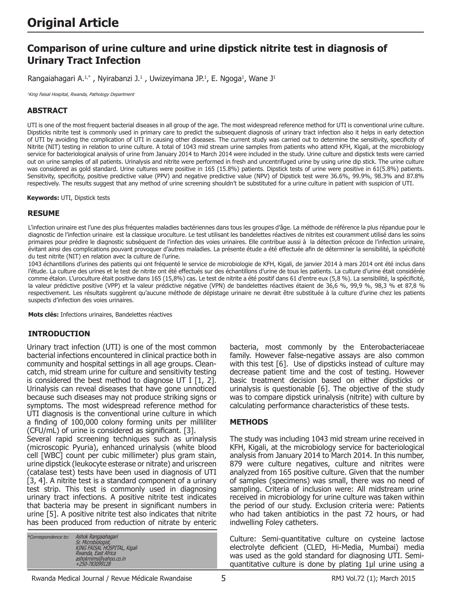# **Comparison of urine culture and urine dipstick nitrite test in diagnosis of Urinary Tract Infection**

Rangaiahagari A.<sup>1,\*</sup>, Nyirabanzi J.<sup>1</sup>, Uwizeyimana JP.<sup>1</sup>, E. Ngoga<sup>1</sup>, Wane J<sup>1</sup>

<sup>1</sup>King Faisal Hospital, Rwanda, Pathology Department

## **ABSTRACT**

UTI is one of the most frequent bacterial diseases in all group of the age. The most widespread reference method for UTI is conventional urine culture. Dipsticks nitrite test is commonly used in primary care to predict the subsequent diagnosis of urinary tract infection also it helps in early detection of UTI by avoiding the complication of UTI in causing other diseases. The current study was carried out to determine the sensitivity, specificity of Nitrite (NIT) testing in relation to urine culture. A total of 1043 mid stream urine samples from patients who attend KFH, Kigali, at the microbiology service for bacteriological analysis of urine from January 2014 to March 2014 were included in the study. Urine culture and dipstick tests were carried out on urine samples of all patients. Urinalysis and nitrite were performed in fresh and uncentrifuged urine by using urine dip stick. The urine culture was considered as gold standard. Urine cultures were positive in 165 (15.8%) patients. Dipstick tests of urine were positive in 61(5.8%) patients. Sensitivity, specificity, positive predictive value (PPV) and negative predictive value (NPV) of Dipstick test were 36.6%, 99.9%, 98.3% and 87.8% respectively. The results suggest that any method of urine screening shouldn't be substituted for a urine culture in patient with suspicion of UTI.

**Keywords:** UTI, Dipstick tests

#### **RESUME**

L'infection urinaire est l'une des plus fréquentes maladies bactériennes dans tous les groupes d'âge. La méthode de référence la plus répandue pour le diagnostic de l'infection urinaire est la classique uroculture. Le test utilisant les bandelettes réactives de nitrites est couramment utilisé dans les soins primaires pour prédire le diagnostic subséquent de l'infection des voies urinaires. Elle contribue aussi à la détection précoce de l'infection urinaire, évitant ainsi des complications pouvant provoquer d'autres maladies. La présente étude a été effectuée afin de déterminer la sensibilité, la spécificité du test nitrite (NIT) en relation avec la culture de l'urine.

1043 échantillons d'urines des patients qui ont fréquenté le service de microbiologie de KFH, Kigali, de janvier 2014 à mars 2014 ont été inclus dans l'étude. La culture des urines et le test de nitrite ont été effectués sur des échantillons d'urine de tous les patients. La culture d'urine était considérée comme étalon. L'uroculture était positive dans 165 (15,8%) cas. Le test de nitrite a été positif dans 61 d'entre eux (5,8 %). La sensibilité, la spécificité, la valeur prédictive positive (VPP) et la valeur prédictive négative (VPN) de bandelettes réactives étaient de 36,6 %, 99,9 %, 98,3 % et 87,8 % respectivement. Les résultats suggèrent qu'aucune méthode de dépistage urinaire ne devrait être substituée à la culture d'urine chez les patients suspects d'infection des voies urinaires.

**Mots clés:** Infections urinaires, Bandelettes réactives

### **INTRODUCTION**

Urinary tract infection (UTI) is one of the most common bacterial infections encountered in clinical practice both in community and hospital settings in all age groups. Cleancatch, mid stream urine for culture and sensitivity testing is considered the best method to diagnose UT I  $[1, 2]$ . Urinalysis can reveal diseases that have gone unnoticed because such diseases may not produce striking signs or symptoms. The most widespread reference method for UTI diagnosis is the conventional urine culture in which a finding of 100,000 colony forming units per milliliter (CFU/mL) of urine is considered as significant. [3].

Several rapid screening techniques such as urinalysis (microscopic Pyuria), enhanced urinalysis (white blood cell [WBC] count per cubic millimeter) plus gram stain, urine dipstick (leukocyte esterase or nitrate) and uriscreen (catalase test) tests have been used in diagnosis of UTI [3, 4]. A nitrite test is a standard component of a urinary test strip. This test is commonly used in diagnosing urinary tract infections. A positive nitrite test indicates that bacteria may be present in significant numbers in urine [5]. A positive nitrite test also indicates that nitrite has been produced from reduction of nitrate by enteric

| *Correspondence to: | Ashok Rangaiahagari          |  |
|---------------------|------------------------------|--|
|                     | Sr. Microbiologist,          |  |
|                     | KING FAISAL HOSPITAL, Kigali |  |
|                     | Rwanda, East Africa          |  |
|                     | ashokrnims@yahoo.co.in       |  |
|                     | +250-783099128               |  |

bacteria, most commonly by the Enterobacteriaceae family. However false-negative assays are also common with this test [6]. Use of dipsticks instead of culture may decrease patient time and the cost of testing. However basic treatment decision based on either dipsticks or urinalysis is questionable [6]. The objective of the study was to compare dipstick urinalysis (nitrite) with culture by calculating performance characteristics of these tests.

### **METHODS**

The study was including 1043 mid stream urine received in KFH, Kigali, at the microbiology service for bacteriological analysis from January 2014 to March 2014. In this number, 879 were culture negatives, culture and nitrites were analyzed from 165 positive culture. Given that the number of samples (specimens) was small, there was no need of sampling. Criteria of inclusion were: All midstream urine received in microbiology for urine culture was taken within the period of our study. Exclusion criteria were: Patients who had taken antibiotics in the past 72 hours, or had indwelling Foley catheters.

Culture: Semi-quantitative culture on cysteine lactose electrolyte deficient (CLED, Hi-Media, Mumbai) media was used as the gold standard for diagnosing UTI. Semiquantitative culture is done by plating 1μl urine using a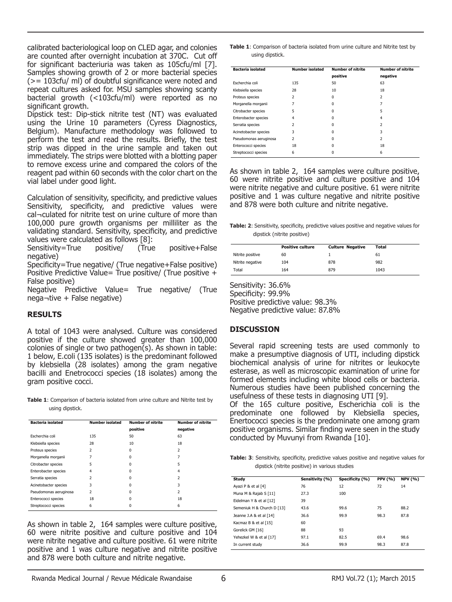calibrated bacteriological loop on CLED agar, and colonies are counted after overnight incubation at 370C. Cut off for significant bacteriuria was taken as 105cfu/ml [7]. Samples showing growth of 2 or more bacterial species (>= 103cfu/ ml) of doubtful significance were noted and repeat cultures asked for. MSU samples showing scanty bacterial growth (<103cfu/ml) were reported as no significant growth.

Dipstick test: Dip-stick nitrite test (NT) was evaluated using the Urine 10 parameters (Cyress Diagnostics, Belgium). Manufacture methodology was followed to perform the test and read the results. Briefly, the test strip was dipped in the urine sample and taken out immediately. The strips were blotted with a blotting paper to remove excess urine and compared the colors of the reagent pad within 60 seconds with the color chart on the vial label under good light.

Calculation of sensitivity, specificity, and predictive values Sensitivity, specificity, and predictive values were cal¬culated for nitrite test on urine culture of more than 100,000 pure growth organisms per milliliter as the validating standard. Sensitivity, specificity, and predictive values were calculated as follows [8]:

Sensitivity=True positive/ (True positive+False negative)

Specificity=True negative/ (True negative+False positive) Positive Predictive Value= True positive/ (True positive  $+$ False positive)

Negative Predictive Value= True negative/ (True nega¬tive + False negative)

### **RESULTS**

A total of 1043 were analysed. Culture was considered positive if the culture showed greater than 100,000 colonies of single or two pathogen(s). As shown in table: 1 below, E.coli (135 isolates) is the predominant followed by klebsiella (28 isolates) among the gram negative bacilli and Enetrococci species (18 isolates) among the gram positive cocci.

**Table 1**: Comparison of bacteria isolated from urine culture and Nitrite test by using dipstick.

| <b>Bacteria isolated</b> | <b>Number isolated</b>   | <b>Number of nitrite</b> | <b>Number of nitrite</b> |  |
|--------------------------|--------------------------|--------------------------|--------------------------|--|
|                          |                          | positive                 | negative                 |  |
| Escherchia coli          | 135                      | 50                       | 63                       |  |
| Klebsiella species       | 28                       | 10                       | 18                       |  |
| Proteus species          | 2                        | 0                        | $\overline{\phantom{a}}$ |  |
| Morganella morganii      | 7                        | 0                        | 7                        |  |
| Citrobacter species      | 5                        | U                        | 5                        |  |
| Enterobacter species     | 4                        | 0                        | 4                        |  |
| Serratia species         | $\overline{\phantom{a}}$ | $\Omega$                 | $\overline{\phantom{a}}$ |  |
| Acinetobacter species    | 3                        | $\Omega$                 | 3                        |  |
| Pseudomonas aeruginosa   | $\overline{\phantom{a}}$ | 0                        | $\overline{\phantom{a}}$ |  |
| Enterococci species      | 18                       | 0                        | 18                       |  |
| Streptococci species     | 6                        | O                        | 6                        |  |

As shown in table 2, 164 samples were culture positive, 60 were nitrite positive and culture positive and 104 were nitrite negative and culture positive. 61 were nitrite positive and 1 was culture negative and nitrite positive and 878 were both culture and nitrite negative.

**Table 1**: Comparison of bacteria isolated from urine culture and Nitrite test by using dipstick.

| <b>Bacteria</b> isolated | <b>Number isolated</b> | <b>Number of nitrite</b><br><b>Number of nitrite</b> |                          |
|--------------------------|------------------------|------------------------------------------------------|--------------------------|
|                          |                        | positive                                             | negative                 |
| Escherchia coli          | 135                    | 50                                                   | 63                       |
| Klebsiella species       | 28                     | 10                                                   | 18                       |
| Proteus species          | 2                      | 0                                                    | $\overline{\phantom{a}}$ |
| Morganella morganii      | 7                      | 0                                                    | 7                        |
| Citrobacter species      | 5                      | 0                                                    | 5                        |
| Enterobacter species     | 4                      | 0                                                    | 4                        |
| Serratia species         | $\overline{2}$         | 0                                                    | $\overline{\phantom{a}}$ |
| Acinetobacter species    | 3                      | 0                                                    | 3                        |
| Pseudomonas aeruginosa   | $\mathcal{P}$          | 0                                                    | 2                        |
| Enterococci species      | 18                     | 0                                                    | 18                       |
| Streptococci species     | 6                      | 0                                                    | 6                        |

As shown in table 2, 164 samples were culture positive, 60 were nitrite positive and culture positive and 104 were nitrite negative and culture positive. 61 were nitrite positive and 1 was culture negative and nitrite positive and 878 were both culture and nitrite negative.

**Table: 2:** Sensitivity, specificity, predictive values positive and negative values for dipstick (nitrite positive)

|                  | <b>Positive culture</b> | <b>Culture Negative</b> | Total |
|------------------|-------------------------|-------------------------|-------|
| Nitrite positive | 60                      |                         | 61    |
| Nitrite negative | 104                     | 878                     | 982   |
| Total            | 164                     | 879                     | 1043  |

Sensitivity: 36.6% Specificity: 99.9% Positive predictive value: 98.3% Negative predictive value: 87.8%

### **DISCUSSION**

Several rapid screening tests are used commonly to make a presumptive diagnosis of UTI, including dipstick biochemical analysis of urine for nitrites or leukocyte esterase, as well as microscopic examination of urine for formed elements including white blood cells or bacteria. Numerous studies have been published concerning the usefulness of these tests in diagnosing UTI [9].

Of the 165 culture positive, Escherichia coli is the predominate one followed by Klebsiella species, Enertococci species is the predominate one among gram positive organisms. Similar finding were seen in the study conducted by Muvunyi from Rwanda [10].

**Table: 3**: Sensitivity, specificity, predictive values positive and negative values for dipstick (nitrite positive) in various studies

| Study                      | Sensitivity (%) | Specificity (%) | <b>PPV (%)</b> | <b>NPV (%)</b> |
|----------------------------|-----------------|-----------------|----------------|----------------|
| Ayazi P & et al [4]        | 76              | 12              | 72             | 14             |
| Muna M & Rajab S [11]      | 27.3            | 100             |                |                |
| Eidelman Y & et al [12]    | 39              |                 |                |                |
| Semeniuk H & Church D [13] | 43.6            | 99.6            | 75             | 88.2           |
| Jeanne J.A & et al [14]    | 36.6            | 99.9            | 98.3           | 87.8           |
| Kacmaz B & et al [15]      | 60              |                 |                |                |
| Gorelick GM [16]           | 88              | 93              |                |                |
| Yehezkel W & et al [17]    | 97.1            | 82.5            | 69.4           | 98.6           |
| In current study           | 36.6            | 99.9            | 98.3           | 87.8           |